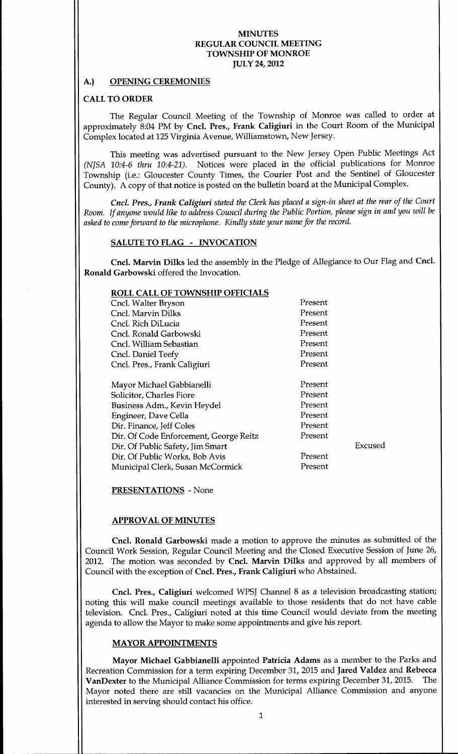## A.) OPENING CEREMONIES

## CALL TO ORDER

The Regular Council Meeting of the Township of Monroe was called to order at approximately 8:04 PM by Cncl. Pres., Frank Caligiuri in the Court Room of the Municipal Complex located at 125 Virginia Avenue, Williamstown, New Jersey.

This meeting was advertised pursuant to the New Jersey Open Public Meetings Act (NJSA 10:4-6 thru 10:4-21). Notices were placed in the official publications for Monroe Township (i.e.: Gloucester County Times, the Courier Post and the Sentinel of Gloucester County). A copy of that notice is posted on the bulletin board at the Municipal Complex.

Cncl. Pres., Frank Caligiuri stated the Clerk has placed a sign-in sheet at the rear of the Court Room. If anyone would like to address Council during the Public Portion, please sign in and you will be asked to come forward to the microphone. Kindly state your name for the record.

### SALUTE TO FLAG - INVOCATION

Cncl. Marvin Dilks led the assembly in the Pledge of Allegiance to Our Flag and Cncl. Ronald Garbowski offered the Invocation

# ROLL CALL OF TOWNSHIP OFFICIALS

| Cncl. Walter Bryson                    | Present |
|----------------------------------------|---------|
| Cncl. Marvin Dilks                     | Present |
| Cncl. Rich DiLucia                     | Present |
| Cncl. Ronald Garbowski                 | Present |
| Cncl. William Sebastian                | Present |
| Cncl. Daniel Teefy                     | Present |
| Cncl. Pres., Frank Caligiuri           | Present |
| Mayor Michael Gabbianelli              | Present |
| Solicitor, Charles Fiore               | Present |
| Business Adm., Kevin Heydel            | Present |
| Engineer, Dave Cella                   | Present |
| Dir. Finance, Jeff Coles               | Present |
| Dir. Of Code Enforcement, George Reitz | Present |
| Dir. Of Public Safety, Jim Smart       |         |
| Dir. Of Public Works, Bob Avis         | Present |
| Municipal Clerk, Susan McCormick       | Present |
|                                        |         |

Excused

PRESENTATIONS - None

#### APPROVAL OF MINUTES

Cncl. Ronald Garbowski made a motion to approve the minutes as submitted of the Council Work Session, Regular Council Meeting and the Closed Executive Session of June 26, 2012. The motion was seconded by Cncl. Marvin Dilks and approved by all members of Council with the exception of Cncl. Pres., Frank Caligiuri who Abstained.

Cncl. Pres., Caligiuri welcomed WPSJ Channel 8 as a television broadcasting station; noting this will make council meetings available to those residents that do not have cable television. Cncl. Pres., Caligiuri noted at this time Council would deviate from the meeting agenda to allow the Mayor to make some appointments and give his report

#### MAYOR APPOINTMENTS

Mayor Michael Gabbianelli appointed Patricia Adams as a member to the Parks and Recreation Commission for a term expiring December 31, 2015 and Jared Valdez and Rebecca VanDexter to the Municipal Alliance Commission for terms expiring December 31, 2015. The Mayor noted there are still vacancies on the Municipal Alliance Commission and anyone interested in serving should contact his office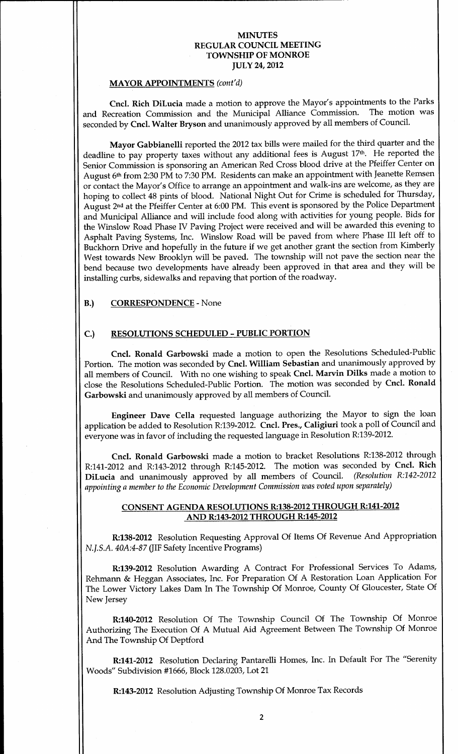#### MAYOR APPOINTMENTS (cont'd)

Cncl. Rich DiLucia made a motion to approve the Mayor's appointments to the Parks and Recreation Commission and the Municipal Alliance Commission. The motion was seconded by Cncl. Walter Bryson and unanimously approved by all members of Council.

Mayor Gabbianelli reported the <sup>2012</sup> tax bills were mailed for the third quarter and the deadline to pay property taxes without any additional fees is August 17th. He reported the Senior Commission is sponsoring an American Red Cross blood drive at the Pfeiffer Center on August 6<sup>th</sup> from 2:30 PM to 7:30 PM. Residents can make an appointment with Jeanette Remsen or contact the Mayor's Office to arrange an appointment and walk-ins are welcome, as they are hoping to collect 48 pints of blood. National Night Out for Crime is scheduled for Thursday, August 2<sup>nd</sup> at the Pfeiffer Center at 6:00 PM. This event is sponsored by the Police Department and Municipal Alliance and will include food along with activities for young people. Bids for the Winslow Road Phase IV Paving Project were received and will be awarded this evening to Asphalt Paving Systems, Inc. Winslow Road will be paved from where Phase III left off to Buckhorn Drive and hopefully in the future if we get another grant the section from Kimberly West towards New Brooklyn will be paved. The township will not pave the section near the bend because two developments have already been approved in that area and they will be installing curbs, sidewalks and repaving that portion of the roadway.

# B.) CORRESPONDENCE - None

# C.) RESOLUTIONS SCHEDULED - PUBLIC PORTION

Cncl. Ronald Garbowski made a motion to open the Resolutions Scheduled-Public Portion. The motion was seconded by Cncl. William Sebastian and unanimously approved by all members of Council. With no one wishing to speak Cncl. Marvin Dilks made a motion to close the Resolutions Scheduled-Public Portion. The motion was seconded by Cncl. Ronald Garbowski and unanimously approved by all members of Council

Engineer Dave Cella requested language authorizing the Mayor to sign the loan application be added to Resolution R:139-2012. Cncl. Pres., Caligiuri took a poll of Council and everyone was in favor of including the requested language in Resolution R:139-2012.

Cncl. Ronald Garbowski made a motion to bracket Resolutions R:138-2012 through R:141-2012 and R:143-2012 through R:145-2012. The motion was seconded by Cncl. Rich<br>DiLucia and unanimously approved by all members of Council. (Resolution R:142-2012 DiLucia and unanimously approved by all members of Council. appointing <sup>a</sup> member to the Economic Development Commission was voted upon separately

## CONSENT AGENDA RESOLUTIONS R:138-2012 THROUGH R:141-2012 AND R:143-2012 THROUGH R:145-2012

R:138-2012 Resolution Requesting Approval Of Items Of Revenue And Appropriation N.J.S.A. 40A:4-87 (JIF Safety Incentive Programs)

R:139-2012 Resolution Awarding A Contract For Professional Services To Adams, Rehmann & Heggan Associates, Inc. For Preparation Of A Restoration Loan Application For The Lower Victory Lakes Dam In The Township Of Monroe, County Of Gloucester, State Of New Jersey

R:140-2012 Resolution Of The Township Council Of The Township Of Monroe Authorizing The Execution Of A Mutual Aid Agreement Between The Township Of Monroe And The Township Of Deptford

R:141-2012 Resolution Declaring Pantarelli Homes, Inc. In Default For The "Serenity Woods" Subdivision #1666, Block 128.0203, Lot 21

R:143-2012 Resolution Adjusting Township Of Monroe Tax Records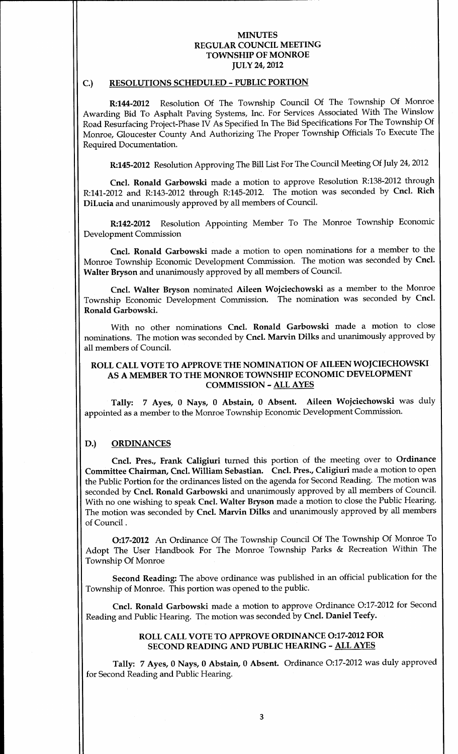#### C.) RESOLUTIONS SCHEDULED - PUBLIC PORTION

R:144-2012 Resolution Of The Township Council Of The Township Of Monroe Awarding Bid To Asphalt Paving Systems, Inc. For Services Associated With The Winslow Road Resurfacing Project Phase IV As Specified In The Bid Specifications For The Township Of Monroe, Gloucester County And Authorizing The Proper Township Officials To Execute The Required Documentation

R:145-2012 Resolution Approving The Bill List For The Council Meeting Of July 24, 2012

Cncl. Ronald Garbowski made a motion to approve Resolution R:138-2012 through R:141-2012 and R:143-2012 through R:145-2012. The motion was seconded by Cncl. Rich DiLucia and unanimously approved by all members of Council

R:142-2012 Resolution Appointing Member To The Monroe Township Economic Development Commission

Cncl. Ronald Garbowski made a motion to open nominations for a member to the Monroe Township Economic Development Commission. The motion was seconded by Cncl. Walter Bryson and unanimously approved by all members of Council.

Cncl. Walter Bryson nominated Aileen Wojciechowski as a member to the Monroe Township Economic Development Commission. The nomination was seconded by Cncl. Ronald Garbowski

With no other nominations Cncl. Ronald Garbowski made a motion to close nominations. The motion was seconded by Cncl. Marvin Dilks and unanimously approved by all members of Council

## ROLL CALL VOTE TO APPROVE THE NOMINATION OF AILEEN WOJCIECHOWSKI AS A MEMBER TO THE MONROE TOWNSHIP ECONOMIC DEVELOPMENT COMMISSION - ALL AYES

Tally: 7 Ayes, 0 Nays, 0 Abstain, 0 Absent. Aileen Wojciechowski was duly appointed as a member to the Monroe Township Economic Development Commission.

#### D.) ORDINANCES

Cncl. Pres., Frank Caligiuri turned this portion of the meeting over to Ordinance Committee Chairman, Cncl. William Sebastian. Cncl. Pres., Caligiuri made a motion to open the Public Portion for the ordinances listed on the agenda for Second Reading. The motion was seconded by Cncl. Ronald Garbowski and unanimously approved by all members of Council. With no one wishing to speak Cncl. Walter Bryson made a motion to close the Public Hearing. The motion was seconded by Cncl. Marvin Dilks and unanimously approved by all members of Council

0<sup>17</sup> <sup>2012</sup> An Ordinance Of The Township Council Of The Township Of Monroe To Adopt The User Handbook For The Monroe Township Parks & Recreation Within The Township Of Monroe

Second Reading: The above ordinance was published in an official publication for the Township of Monroe. This portion was opened to the public.

Cncl. Ronald Garbowski made a motion to approve Ordinance O:17-2012 for Second Reading and Public Hearing. The motion was seconded by Cncl. Daniel Teefy.

## ROLL CALL VOTE TO APPROVE ORDINANCE O:17-2012 FOR SECOND READING AND PUBLIC HEARING - ALL AYES

Tally: 7 Ayes, 0 Nays, 0 Abstain, 0 Absent. Ordinance O:17-2012 was duly approved for Second Reading and Public Hearing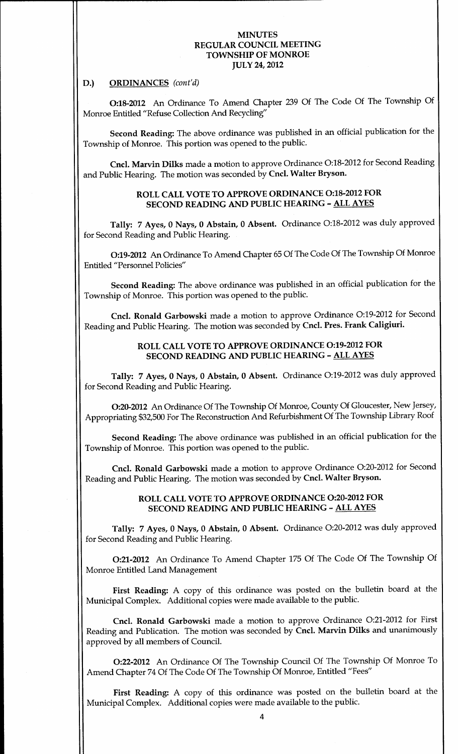#### D.) ORDINANCES (cont'd)

0 <sup>18</sup> <sup>2012</sup> An Ordinance To Amend Chapter <sup>239</sup> Of The Code Of The Township Of Monroe Entitled "Refuse Collection And Recycling"

Second Reading: The above ordinance was published in an official publication for the Township of Monroe. This portion was opened to the public.

Cncl. Marvin Dilks made a motion to approve Ordinance O:18-2012 for Second Reading and Public Hearing. The motion was seconded by Cncl. Walter Bryson.

## ROLL CALL VOTE TO APPROVE ORDINANCE O:18-2012 FOR SECOND READING AND PUBLIC HEARING - ALL AYES

Tally: 7 Ayes, 0 Nays, 0 Abstain, 0 Absent. Ordinance O:18-2012 was duly approved for Second Reading and Public Hearing

019 <sup>2012</sup> An Ordinance To Amend Chapter <sup>65</sup> Of The Code Of The Township Of Monroe Entitled "Personnel Policies"

Second Reading: The above ordinance was published in an official publication for the Township of Monroe. This portion was opened to the public.

Cncl. Ronald Garbowski made a motion to approve Ordinance O:19-2012 for Second Reading and Public Hearing. The motion was seconded by Cncl. Pres. Frank Caligiuri.

> ROLL CALL VOTE TO APPROVE ORDINANCE O:19-2012 FOR SECOND READING AND PUBLIC HEARING - ALL AYES

Tally: 7 Ayes, 0 Nays, 0 Abstain, 0 Absent. Ordinance O:19-2012 was duly approved for Second Reading and Public Hearing

O:20-2012 An Ordinance Of The Township Of Monroe, County Of Gloucester, New Jersey, Appropriating 32 <sup>500</sup> For The Reconstruction And Refurbishment Of The Township Library Roof

Second Reading: The above ordinance was published in an official publication for the Township of Monroe. This portion was opened to the public.

Cncl. Ronald Garbowski made a motion to approve Ordinance O:20-2012 for Second Reading and Public Hearing. The motion was seconded by Cncl. Walter Bryson.

## ROLL CALL VOTE TO APPROVE ORDINANCE O:20-2012 FOR SECOND READING AND PUBLIC HEARING - ALL AYES

Tally: 7 Ayes, 0 Nays, 0 Abstain, 0 Absent. Ordinance O:20-2012 was duly approved for Second Reading and Public Hearing

0 <sup>21</sup> <sup>2012</sup> An Ordinance To Amend Chapter <sup>175</sup> Of The Code Of The Township Of Monroe Entitled Land Management

First Reading: A copy of this ordinance was posted on the bulletin board at the Municipal Complex. Additional copies were made available to the public.

Cncl. Ronald Garbowski made a motion to approve Ordinance O:21-2012 for First Reading and Publication. The motion was seconded by Cncl. Marvin Dilks and unanimously approved by all members of Council

022 <sup>2012</sup> An Ordinance Of The Township Council Of The Township Of Monroe To Amend Chapter 74 Of The Code Of The Township Of Monroe, Entitled "Fees"

First Reading: A copy of this ordinance was posted on the bulletin board at the Municipal Complex. Additional copies were made available to the public.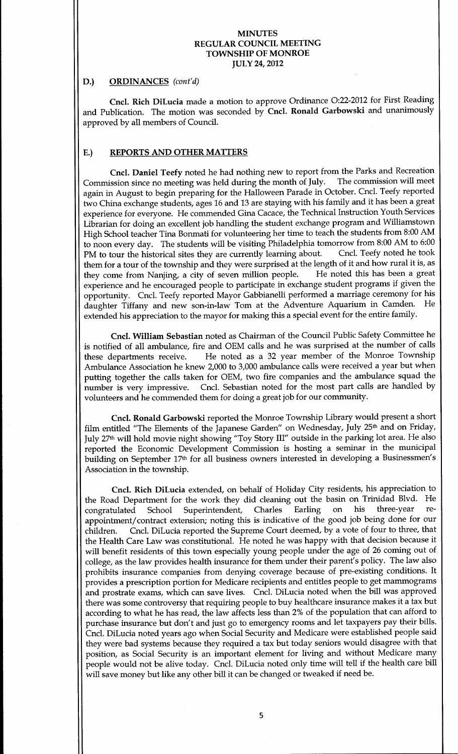## D.) ORDINANCES (cont'd)

Cncl. Rich DiLucia made a motion to approve Ordinance O:22-2012 for First Reading and Publication. The motion was seconded by Cncl. Ronald Garbowski and unanimously approved by all members of Council

## E.) REPORTS AND OTHER MATTERS

Cncl. Daniel Teefy noted he had nothing new to report from the Parks and Recreation<br>ission since no meeting was held during the month of July. The commission will meet Commission since no meeting was held during the month of July. again in August to begin preparing for the Halloween Parade in October. Cncl. Teefy reported two China exchange students, ages 16 and 13 are staying with his family and it has been a great experience for everyone. He commended Gina Cacace, the Technical Instruction Youth Services Librarian for doing an excellent job handling the student exchange program and Williamstown High School teacher Tina Bonmati for volunteering her time to teach the students from 8:00 AM to noon every day. The students will be visiting Philadelphia tomorrow from 8:00 AM to 6:00<br>PM to tour the historical sites they are currently learning about. Cncl. Teefy noted he took PM to tour the historical sites they are currently learning about. them for a tour of the township and they were surprised at the length of it and how rural it is, as they come from Nanjing, a city of seven million people. He noted this has been a great experience and he encouraged people to participate in exchange student programs if given the opportunity. Cncl. Teefy reported Mayor Gabbianelli performed a marriage ceremony for his daughter Tiffany and new son-in-law Tom at the Adventure Aquarium in Camden. He extended his appreciation to the mayor for making this a special event for the entire family.

Cncl. William Sebastian noted as Chairman of the Council Public Safety Committee he is notified of all ambulance, fire and OEM calls and he was surprised at the number of calls these departments receive. He noted as a 32 year member of the Monroe Township Ambulance Association he knew 2,000 to 3,000 ambulance calls were received a year but when putting together the calls taken for OEM, two fire companies and the ambulance squad the number is very impressive. Cncl. Sebastian noted for the most part calls are handled by volunteers and he commended them for doing a greatjob for our community

Cncl. Ronald Garbowski reported the Monroe Township Library would present a short film entitled "The Elements of the Japanese Garden" on Wednesday, July 25<sup>th</sup> and on Friday, July 27<sup>th</sup> will hold movie night showing "Toy Story III" outside in the parking lot area. He also reported the Economic Development Commission is hosting a seminar in the municipal building on September 17<sup>th</sup> for all business owners interested in developing a Businessmen's Association in the township

Cncl. Rich DiLucia extended, on behalf of Holiday City residents, his appreciation to the Road Department for the work they did cleaning out the basin on Trinidad Blvd. He congratulated School Superintendent, Charles Earling on his three-year recongratulated School Superintendent, Charles Earling on his three-year reappointment/contract extension; noting this is indicative of the good job being done for our children. Cncl. DiLucia reported the Supreme Court deemed, by a vote of four to three, that the Health Care Law was constitutional. He noted he was happy with that decision because it will benefit residents of this town especially young people under the age of <sup>26</sup> coming out of college, as the law provides health insurance for them under their parent's policy. The law also prohibits insurance companies from denying coverage because of pre-existing conditions. It provides a prescription portion for Medicare recipients and entitles people to get mammograms and prostrate exams, which can save lives. Cncl. DiLucia noted when the bill was approved there was some controversy that requiring people to buy healthcare insurance makes it a tax but according to what he has read, the law affects less than 2% of the population that can afford to purchase insurance but don't and just go to emergency rooms and let taxpayers pay their bills. Cncl. DiLucia noted years ago when Social Security and Medicare were established people said they were bad systems because they required a tax but today seniors would disagree with that position, as Social Security is an important element for living and without Medicare many people would not be alive today. Cncl. DiLucia noted only time will tell if the health care bill will save money but like any other bill it can be changed or tweaked if need be.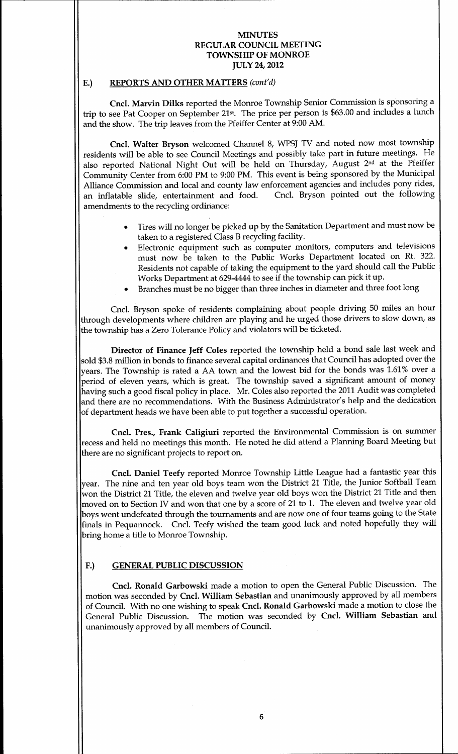### E.) REPORTS AND OTHER MATTERS (cont'd)

Cncl. Marvin Dilks reported the Monroe Township Senior Commission is sponsoring a trip to see Pat Cooper on September 21st. The price per person is \$63.00 and includes a lunch and the show. The trip leaves from the Pfeiffer Center at 9:00 AM.

Cncl. Walter Bryson welcomed Channel 8, WPSJ TV and noted now most township residents will be able to see Council Meetings and possibly take part in future meetings. He also reported National Night Out will be held on Thursday, August 2<sup>nd</sup> at the Pfeiffer Community Center from 6:00 PM to 9:00 PM. This event is being sponsored by the Municipal Alliance Commission and local and county law enforcement agencies and includes pony rides,<br>an inflatable slide, entertainment and food. Cncl. Bryson pointed out the following an inflatable slide, entertainment and food. amendments to the recycling ordinance:

- Tires will no longer be picked up by the Sanitation Department and must now be taken to a registered Class B recycling facility
- Electronic equipment such as computer monitors, computers and televisions must now be taken to the Public Works Department located on Rt. 322. Residents not capable of taking the equipment to the yard should call the Public Works Department at 629-4444 to see if the township can pick it up.
- Branches must be nobigger than three inches in diameter and three foot long

Cncl. Bryson spoke of residents complaining about people driving 50 miles an hour through developments where children are playing and he urged those drivers to slow down, as the township has a Zero Tolerance Policy and violators will be ticketed.

Director of Finance Jeff Coles reported the township held a bond sale last week and sold \$3.8 million in bonds to finance several capital ordinances that Council has adopted over the years. The Township is rated a AA town and the lowest bid for the bonds was 1.61% over a period of eleven years, which is great. The township saved a significant amount of money having such a good fiscal policy in place. Mr. Coles also reported the 2011 Audit was completed and there are no recommendations. With the Business Administrator's help and the dedication of department heads we have been able to put together a successful operation

Cncl. Pres., Frank Caligiuri reported the Environmental Commission is on summer recess and held no meetings this month. He noted he did attend a Planning Board Meeting but there are no significant projects to report on

Cncl. Daniel Teefy reported Monroe Township Little League had a fantastic year this year. The nine and ten year old boys team won the District 21 Title, the Junior Softball Team won the District 21 Title, the eleven and twelve year old boys won the District 21 Title and then moved on to Section IV and won that one by a score of 21 to 1. The eleven and twelve year old boys went undefeated through the tournaments and are now one of four teams going to the State finals in Pequannock. Cncl. Teefy wished the team good luck and noted hopefully they will bring home a title to Monroe Township.

## F.) GENERAL PUBLIC DISCUSSION

Cncl. Ronald Garbowski made a motion to open the General Public Discussion. The motion was seconded by Cncl. William Sebastian and unanimously approved by all members of Council. With no one wishing to speak Cncl. Ronald Garbowski made a motion to close the General Public Discussion. The motion was seconded by Cncl. William Sebastian and unanimously approved by all members of Council